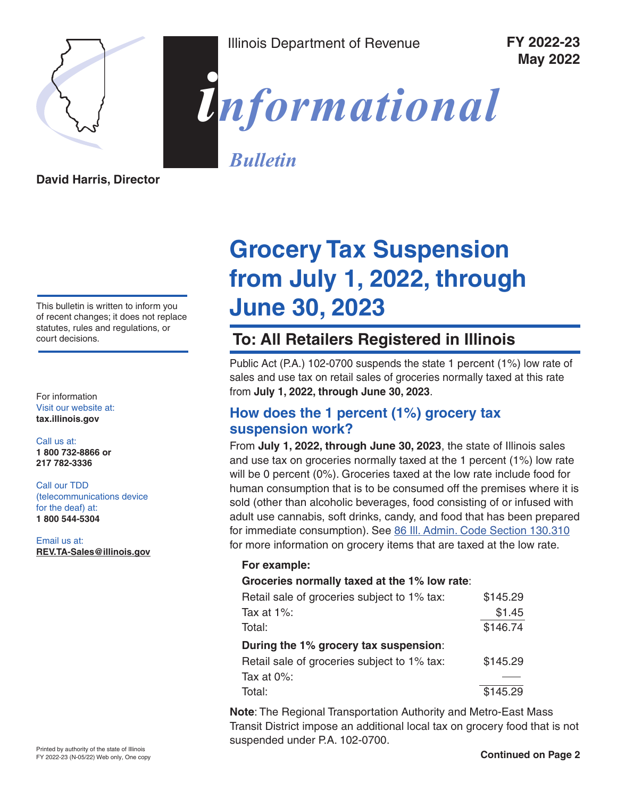

Illinois Department of Revenue **FY 2022-23**

**May 2022**



*Bulletin*

**David Harris, Director**

This bulletin is written to inform you of recent changes; it does not replace statutes, rules and regulations, or court decisions.

For information Visit our website at: **[tax.illinois.gov](http://tax.illinois.gov)**

Call us at: **1 800 732-8866 or 217 782-3336**

#### Call our TDD (telecommunications device

for the deaf) at: **1 800 544-5304**

Email us at: **REV.TA-Sales@illinois.gov**

# **Grocery Tax Suspension from July 1, 2022, through June 30, 2023**

## **To: All Retailers Registered in Illinois**

Public Act (P.A.) 102-0700 suspends the state 1 percent (1%) low rate of sales and use tax on retail sales of groceries normally taxed at this rate from **July 1, 2022, through June 30, 2023**.

### **How does the 1 percent (1%) grocery tax suspension work?**

From **July 1, 2022, through June 30, 2023**, the state of Illinois sales and use tax on groceries normally taxed at the 1 percent (1%) low rate will be 0 percent (0%). Groceries taxed at the low rate include food for human consumption that is to be consumed off the premises where it is sold (other than alcoholic beverages, food consisting of or infused with adult use cannabis, soft drinks, candy, and food that has been prepared for immediate consumption). See [86 Ill. Admin. Code Section 130.310](https://www2.illinois.gov/rev/research/legalinformation/regs/Documents/part130/130-310.pdf) for more information on grocery items that are taxed at the low rate.

#### **For example:**

#### **Groceries normally taxed at the 1% low rate**:

| Retail sale of groceries subject to 1% tax: | \$145.29 |
|---------------------------------------------|----------|
| Tax at $1\%$ :                              | \$1.45   |
| Total:                                      | \$146.74 |
| During the 1% grocery tax suspension:       |          |
| Retail sale of groceries subject to 1% tax: | \$145.29 |
| Tax at $0\%$ :                              |          |
| Total:                                      | \$145.29 |

**Note**: The Regional Transportation Authority and Metro-East Mass Transit District impose an additional local tax on grocery food that is not suspended under P.A. 102-0700.